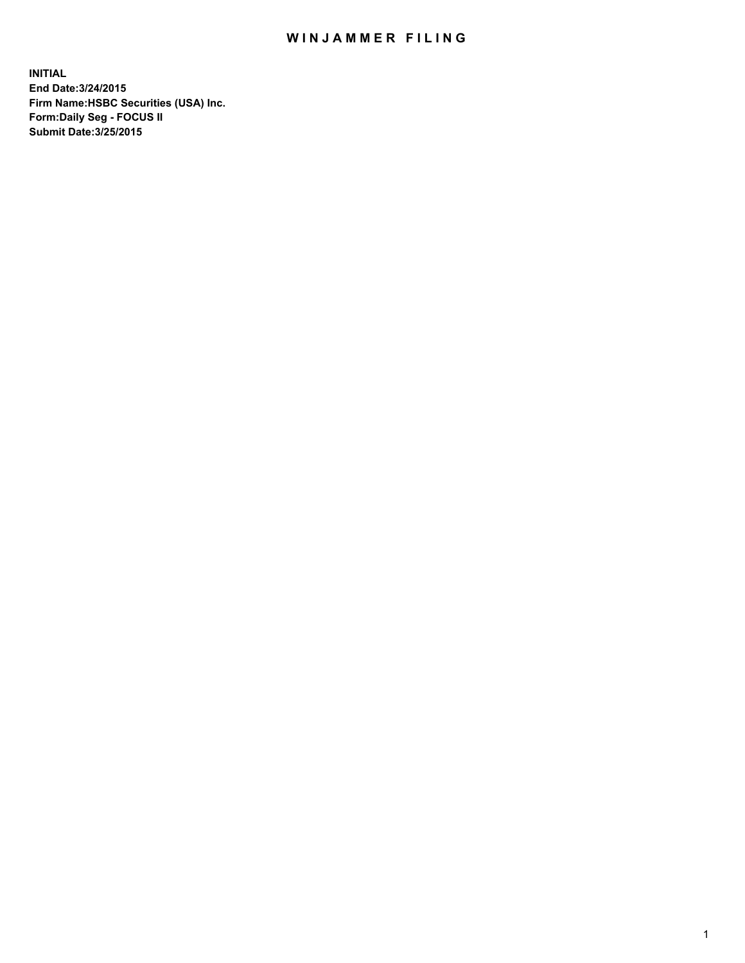## WIN JAMMER FILING

**INITIAL End Date:3/24/2015 Firm Name:HSBC Securities (USA) Inc. Form:Daily Seg - FOCUS II Submit Date:3/25/2015**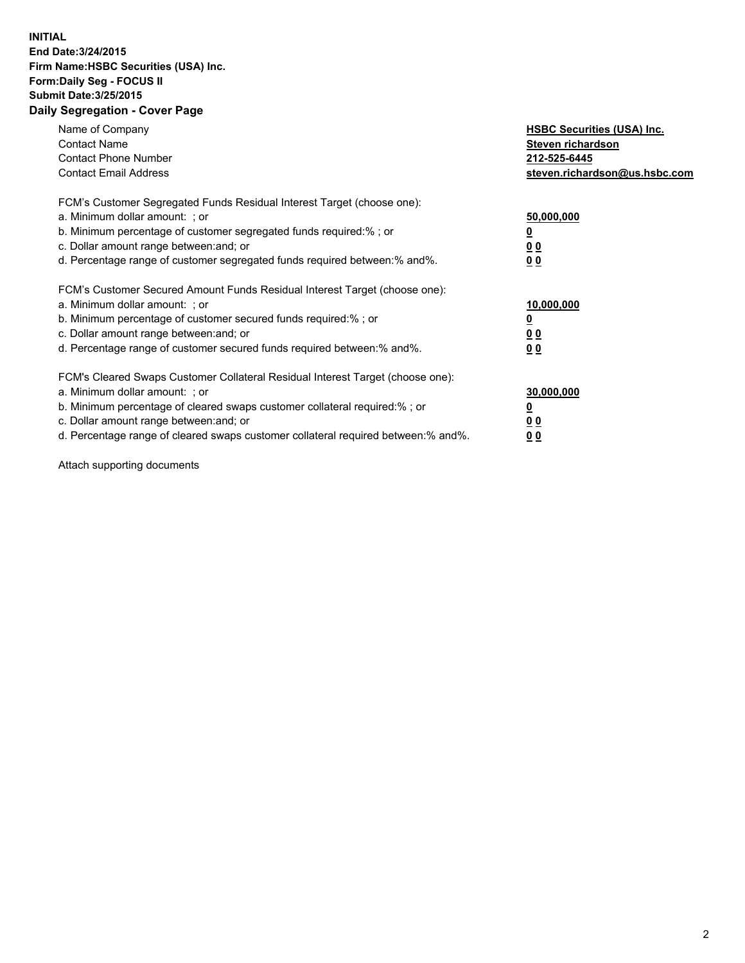## **INITIAL End Date:3/24/2015 Firm Name:HSBC Securities (USA) Inc. Form:Daily Seg - FOCUS II Submit Date:3/25/2015 Daily Segregation - Cover Page**

| Name of Company<br><b>Contact Name</b><br><b>Contact Phone Number</b><br><b>Contact Email Address</b>                                                                                                                                                                                                                         | <b>HSBC Securities (USA) Inc.</b><br>Steven richardson<br>212-525-6445<br>steven.richardson@us.hsbc.com |
|-------------------------------------------------------------------------------------------------------------------------------------------------------------------------------------------------------------------------------------------------------------------------------------------------------------------------------|---------------------------------------------------------------------------------------------------------|
| FCM's Customer Segregated Funds Residual Interest Target (choose one):<br>a. Minimum dollar amount: ; or<br>b. Minimum percentage of customer segregated funds required:%; or<br>c. Dollar amount range between: and; or<br>d. Percentage range of customer segregated funds required between:% and%.                         | 50,000,000<br>00<br>0 <sub>0</sub>                                                                      |
| FCM's Customer Secured Amount Funds Residual Interest Target (choose one):<br>a. Minimum dollar amount: ; or<br>b. Minimum percentage of customer secured funds required:%; or<br>c. Dollar amount range between: and; or<br>d. Percentage range of customer secured funds required between:% and%.                           | 10,000,000<br>0 <sub>0</sub><br>00                                                                      |
| FCM's Cleared Swaps Customer Collateral Residual Interest Target (choose one):<br>a. Minimum dollar amount: ; or<br>b. Minimum percentage of cleared swaps customer collateral required:%; or<br>c. Dollar amount range between: and; or<br>d. Percentage range of cleared swaps customer collateral required between:% and%. | 30,000,000<br><u>00</u><br><u>00</u>                                                                    |

Attach supporting documents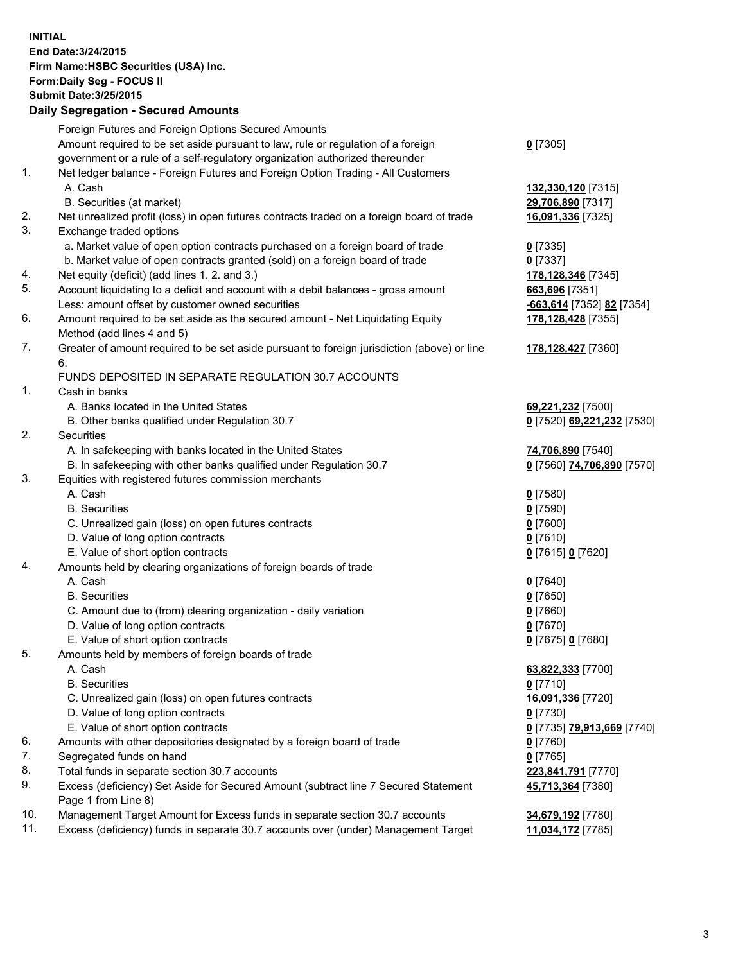**INITIAL End Date:3/24/2015 Firm Name:HSBC Securities (USA) Inc. Form:Daily Seg - FOCUS II Submit Date:3/25/2015 Daily Segregation - Secured Amounts**

Foreign Futures and Foreign Options Secured Amounts Amount required to be set aside pursuant to law, rule or regulation of a foreign government or a rule of a self-regulatory organization authorized thereunder **0** [7305] 1. Net ledger balance - Foreign Futures and Foreign Option Trading - All Customers A. Cash **132,330,120** [7315] B. Securities (at market) **29,706,890** [7317] 2. Net unrealized profit (loss) in open futures contracts traded on a foreign board of trade **16,091,336** [7325] 3. Exchange traded options a. Market value of open option contracts purchased on a foreign board of trade **0** [7335] b. Market value of open contracts granted (sold) on a foreign board of trade **0** [7337] 4. Net equity (deficit) (add lines 1. 2. and 3.) **178,128,346** [7345] 5. Account liquidating to a deficit and account with a debit balances - gross amount **663,696** [7351] Less: amount offset by customer owned securities **-663,614** [7352] **82** [7354] 6. Amount required to be set aside as the secured amount - Net Liquidating Equity Method (add lines 4 and 5) **178,128,428** [7355] 7. Greater of amount required to be set aside pursuant to foreign jurisdiction (above) or line 6. **178,128,427** [7360] FUNDS DEPOSITED IN SEPARATE REGULATION 30.7 ACCOUNTS 1. Cash in banks A. Banks located in the United States **69,221,232** [7500] B. Other banks qualified under Regulation 30.7 **0** [7520] **69,221,232** [7530] 2. Securities A. In safekeeping with banks located in the United States **74,706,890** [7540] B. In safekeeping with other banks qualified under Regulation 30.7 **0** [7560] **74,706,890** [7570] 3. Equities with registered futures commission merchants A. Cash **0** [7580] B. Securities **0** [7590] C. Unrealized gain (loss) on open futures contracts **0** [7600] D. Value of long option contracts **0** [7610] E. Value of short option contracts **0** [7615] **0** [7620] 4. Amounts held by clearing organizations of foreign boards of trade A. Cash **0** [7640] B. Securities **0** [7650] C. Amount due to (from) clearing organization - daily variation **0** [7660] D. Value of long option contracts **0** [7670] E. Value of short option contracts **0** [7675] **0** [7680] 5. Amounts held by members of foreign boards of trade A. Cash **63,822,333** [7700] B. Securities **0** [7710] C. Unrealized gain (loss) on open futures contracts **16,091,336** [7720] D. Value of long option contracts **0** [7730] E. Value of short option contracts **0** [7735] **79,913,669** [7740] 6. Amounts with other depositories designated by a foreign board of trade **0** [7760] 7. Segregated funds on hand **0** [7765] 8. Total funds in separate section 30.7 accounts **223,841,791** [7770] 9. Excess (deficiency) Set Aside for Secured Amount (subtract line 7 Secured Statement Page 1 from Line 8) **45,713,364** [7380] 10. Management Target Amount for Excess funds in separate section 30.7 accounts **34,679,192** [7780] 11. Excess (deficiency) funds in separate 30.7 accounts over (under) Management Target **11,034,172** [7785]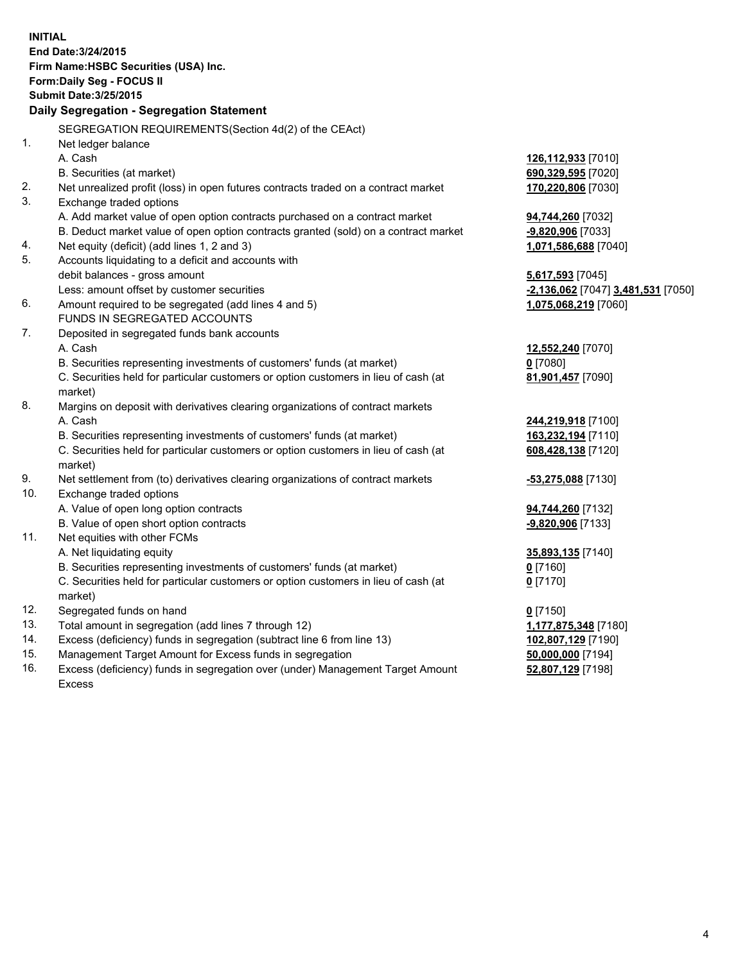| <b>INITIAL</b>                            |                                                                                     |                                    |  |  |
|-------------------------------------------|-------------------------------------------------------------------------------------|------------------------------------|--|--|
| End Date: 3/24/2015                       |                                                                                     |                                    |  |  |
| Firm Name: HSBC Securities (USA) Inc.     |                                                                                     |                                    |  |  |
| Form: Daily Seg - FOCUS II                |                                                                                     |                                    |  |  |
| <b>Submit Date: 3/25/2015</b>             |                                                                                     |                                    |  |  |
| Daily Segregation - Segregation Statement |                                                                                     |                                    |  |  |
|                                           |                                                                                     |                                    |  |  |
|                                           | SEGREGATION REQUIREMENTS(Section 4d(2) of the CEAct)                                |                                    |  |  |
| 1.                                        | Net ledger balance                                                                  |                                    |  |  |
|                                           | A. Cash                                                                             | 126,112,933 [7010]                 |  |  |
|                                           | B. Securities (at market)                                                           | 690,329,595 [7020]                 |  |  |
| 2.                                        | Net unrealized profit (loss) in open futures contracts traded on a contract market  | 170,220,806 [7030]                 |  |  |
| 3.                                        | Exchange traded options                                                             |                                    |  |  |
|                                           | A. Add market value of open option contracts purchased on a contract market         | 94,744,260 [7032]                  |  |  |
|                                           | B. Deduct market value of open option contracts granted (sold) on a contract market | -9,820,906 [7033]                  |  |  |
| 4.                                        | Net equity (deficit) (add lines 1, 2 and 3)                                         | 1,071,586,688 [7040]               |  |  |
| 5.                                        | Accounts liquidating to a deficit and accounts with                                 |                                    |  |  |
|                                           | debit balances - gross amount                                                       | 5,617,593 [7045]                   |  |  |
|                                           | Less: amount offset by customer securities                                          | -2,136,062 [7047] 3,481,531 [7050] |  |  |
| 6.                                        | Amount required to be segregated (add lines 4 and 5)                                | 1,075,068,219 [7060]               |  |  |
|                                           | FUNDS IN SEGREGATED ACCOUNTS                                                        |                                    |  |  |
| 7.                                        | Deposited in segregated funds bank accounts                                         |                                    |  |  |
|                                           | A. Cash                                                                             | 12,552,240 [7070]                  |  |  |
|                                           | B. Securities representing investments of customers' funds (at market)              | $0$ [7080]                         |  |  |
|                                           | C. Securities held for particular customers or option customers in lieu of cash (at | 81,901,457 [7090]                  |  |  |
|                                           | market)                                                                             |                                    |  |  |
| 8.                                        | Margins on deposit with derivatives clearing organizations of contract markets      |                                    |  |  |
|                                           | A. Cash                                                                             | 244,219,918 [7100]                 |  |  |
|                                           | B. Securities representing investments of customers' funds (at market)              | 163,232,194 [7110]                 |  |  |
|                                           | C. Securities held for particular customers or option customers in lieu of cash (at | 608,428,138 [7120]                 |  |  |
|                                           | market)                                                                             |                                    |  |  |
| 9.                                        | Net settlement from (to) derivatives clearing organizations of contract markets     | <u>-53,275,088</u> [7130]          |  |  |
| 10.                                       | Exchange traded options                                                             |                                    |  |  |
|                                           | A. Value of open long option contracts                                              | 94,744,260 [7132]                  |  |  |
|                                           | B. Value of open short option contracts                                             | -9,820,906 [7133]                  |  |  |
| 11.                                       | Net equities with other FCMs                                                        |                                    |  |  |
|                                           | A. Net liquidating equity                                                           | 35,893,135 [7140]                  |  |  |
|                                           | B. Securities representing investments of customers' funds (at market)              | $\underline{0}$ [7160]             |  |  |
|                                           | C. Securities held for particular customers or option customers in lieu of cash (at | $0$ [7170]                         |  |  |
|                                           | market)                                                                             |                                    |  |  |
| 12.                                       | Segregated funds on hand                                                            | $0$ [7150]                         |  |  |
| 13.                                       | Total amount in segregation (add lines 7 through 12)                                | 1,177,875,348 [7180]               |  |  |
| 14.                                       | Excess (deficiency) funds in segregation (subtract line 6 from line 13)             | 102,807,129 [7190]                 |  |  |
| 15.                                       | Management Target Amount for Excess funds in segregation                            | 50,000,000 [7194]                  |  |  |
| 16.                                       | Excess (deficiency) funds in segregation over (under) Management Target Amount      | 52,807,129 [7198]                  |  |  |
|                                           | Excess                                                                              |                                    |  |  |